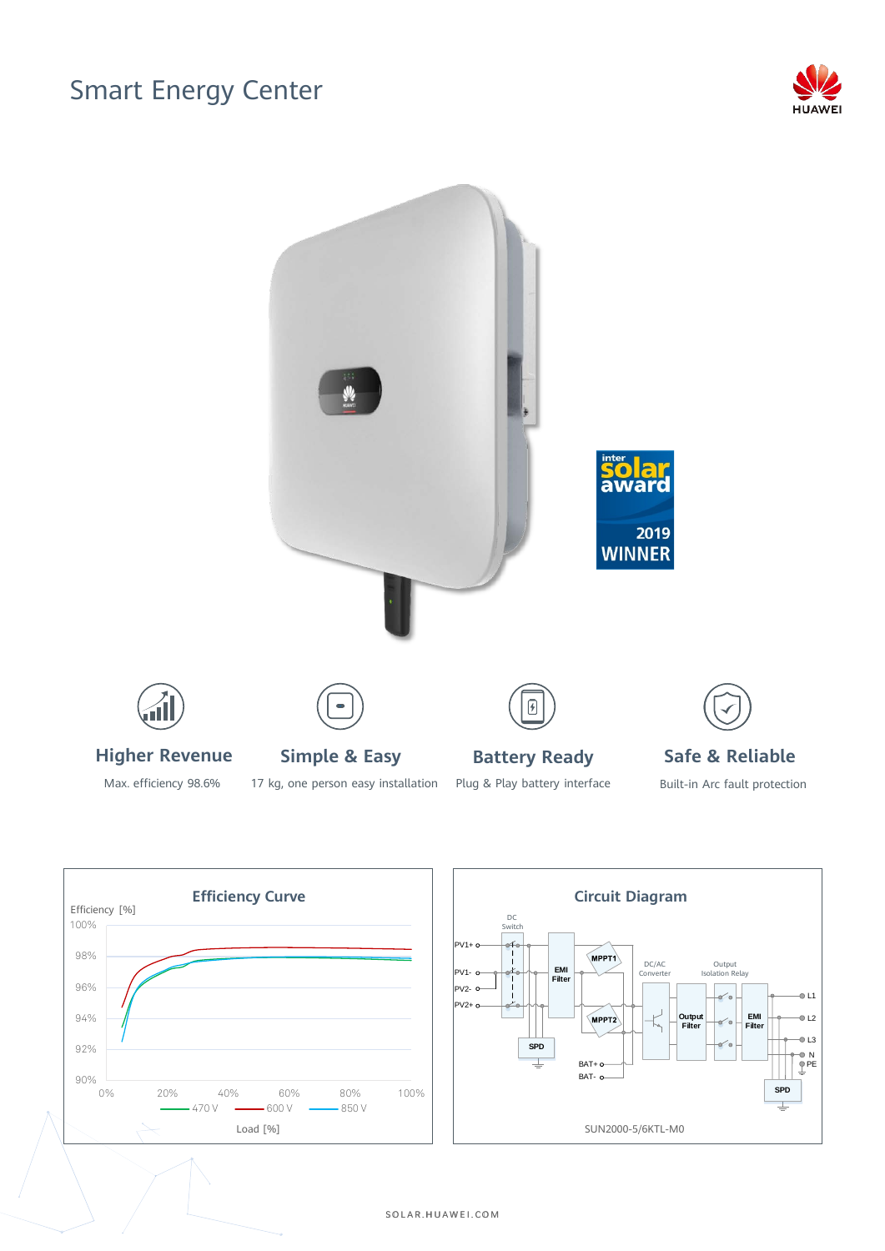## Smart Energy Center





Max. efficiency 98.6%

17 kg, one person easy installation

Plug & Play battery interface